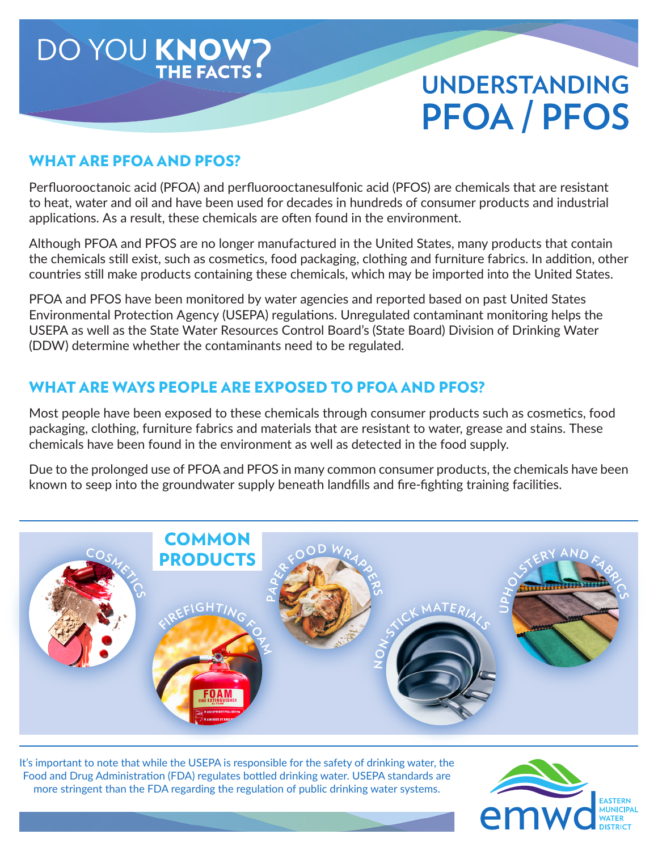

#### WHAT ARE PFOA AND PFOS?

Perfluorooctanoic acid (PFOA) and perfluorooctanesulfonic acid (PFOS) are chemicals that are resistant to heat, water and oil and have been used for decades in hundreds of consumer products and industrial applications. As a result, these chemicals are often found in the environment.

Although PFOA and PFOS are no longer manufactured in the United States, many products that contain the chemicals still exist, such as cosmetics, food packaging, clothing and furniture fabrics. In addition, other countries still make products containing these chemicals, which may be imported into the United States.

PFOA and PFOS have been monitored by water agencies and reported based on past United States Environmental Protection Agency (USEPA) regulations. Unregulated contaminant monitoring helps the USEPA as well as the State Water Resources Control Board's (State Board) Division of Drinking Water (DDW) determine whether the contaminants need to be regulated.

#### WHAT ARE WAYS PEOPLE ARE EXPOSED TO PFOA AND PFOS?

Most people have been exposed to these chemicals through consumer products such as cosmetics, food packaging, clothing, furniture fabrics and materials that are resistant to water, grease and stains. These chemicals have been found in the environment as well as detected in the food supply.

Due to the prolonged use of PFOA and PFOS in many common consumer products, the chemicals have been known to seep into the groundwater supply beneath landfills and fire-fighting training facilities.



It's important to note that while the USEPA is responsible for the safety of drinking water, the Food and Drug Administration (FDA) regulates bottled drinking water. USEPA standards are more stringent than the FDA regarding the regulation of public drinking water systems.